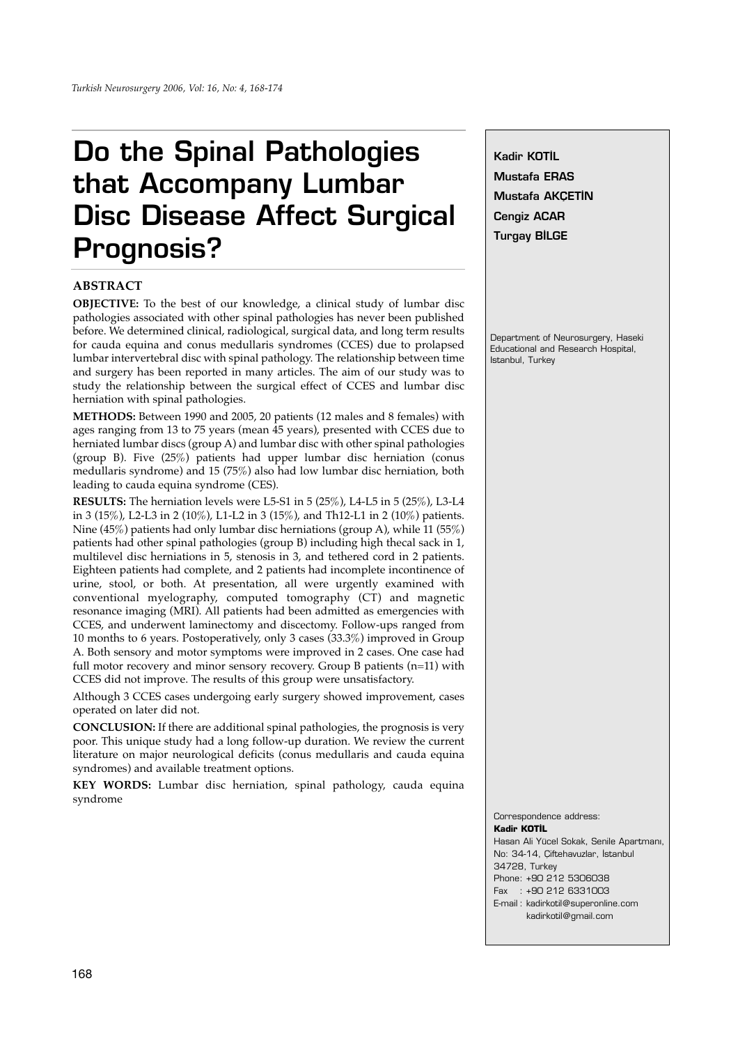# **Do the Spinal Pathologies that Accompany Lumbar Disc Disease Affect Surgical Prognosis?**

## **ABSTRACT**

**OBJECTIVE:** To the best of our knowledge, a clinical study of lumbar disc pathologies associated with other spinal pathologies has never been published before. We determined clinical, radiological, surgical data, and long term results for cauda equina and conus medullaris syndromes (CCES) due to prolapsed lumbar intervertebral disc with spinal pathology. The relationship between time and surgery has been reported in many articles. The aim of our study was to study the relationship between the surgical effect of CCES and lumbar disc herniation with spinal pathologies.

**METHODS:** Between 1990 and 2005, 20 patients (12 males and 8 females) with ages ranging from 13 to 75 years (mean 45 years), presented with CCES due to herniated lumbar discs (group A) and lumbar disc with other spinal pathologies (group B). Five (25%) patients had upper lumbar disc herniation (conus medullaris syndrome) and 15 (75%) also had low lumbar disc herniation, both leading to cauda equina syndrome (CES).

**RESULTS:** The herniation levels were L5-S1 in 5 (25%), L4-L5 in 5 (25%), L3-L4 in 3 (15%), L2-L3 in 2 (10%), L1-L2 in 3 (15%), and Th12-L1 in 2 (10%) patients. Nine (45%) patients had only lumbar disc herniations (group A), while 11 (55%) patients had other spinal pathologies (group B) including high thecal sack in 1, multilevel disc herniations in 5, stenosis in 3, and tethered cord in 2 patients. Eighteen patients had complete, and 2 patients had incomplete incontinence of urine, stool, or both. At presentation, all were urgently examined with conventional myelography, computed tomography (CT) and magnetic resonance imaging (MRI). All patients had been admitted as emergencies with CCES, and underwent laminectomy and discectomy. Follow-ups ranged from 10 months to 6 years. Postoperatively, only 3 cases (33.3%) improved in Group A. Both sensory and motor symptoms were improved in 2 cases. One case had full motor recovery and minor sensory recovery. Group B patients (n=11) with CCES did not improve. The results of this group were unsatisfactory.

Although 3 CCES cases undergoing early surgery showed improvement, cases operated on later did not.

**CONCLUSION:** If there are additional spinal pathologies, the prognosis is very poor. This unique study had a long follow-up duration. We review the current literature on major neurological deficits (conus medullaris and cauda equina syndromes) and available treatment options.

**KEY WORDS:** Lumbar disc herniation, spinal pathology, cauda equina syndrome

**Kadir KOTİL Mustafa ERAS Mustafa AKCETIN Cengiz ACAR Turgay BİLGE** 

Department of Neurosurgery, Haseki Educational and Research Hospital, Istanbul, Turkey

Correspondence address: **Kadir KOTİL** Hasan Ali Yücel Sokak, Senile Apartman›, No: 34-14, Çiftehavuzlar, İstanbul 34728, Turkey Phone: +90 212 5306038 Fax : +90 212 6331003 E-mail : kadirkotil@superonline.com kadirkotil@gmail.com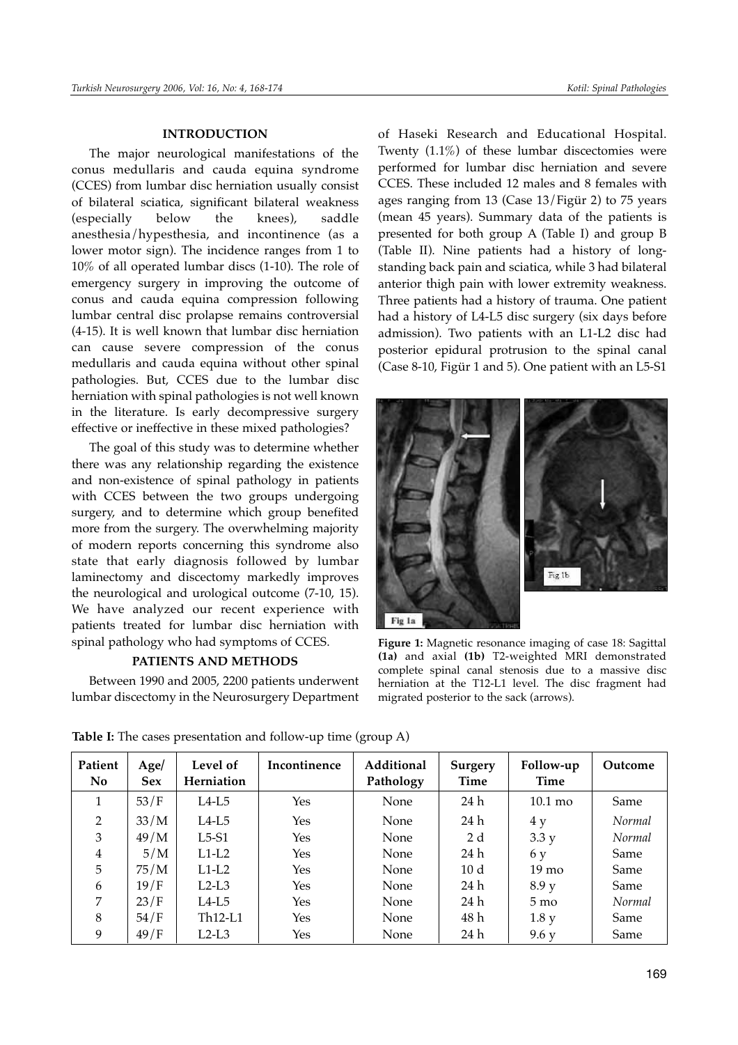#### **INTRODUCTION**

The major neurological manifestations of the conus medullaris and cauda equina syndrome (CCES) from lumbar disc herniation usually consist of bilateral sciatica, significant bilateral weakness (especially below the knees), saddle anesthesia/hypesthesia, and incontinence (as a lower motor sign). The incidence ranges from 1 to 10% of all operated lumbar discs (1-10). The role of emergency surgery in improving the outcome of conus and cauda equina compression following lumbar central disc prolapse remains controversial (4-15). It is well known that lumbar disc herniation can cause severe compression of the conus medullaris and cauda equina without other spinal pathologies. But, CCES due to the lumbar disc herniation with spinal pathologies is not well known in the literature. Is early decompressive surgery effective or ineffective in these mixed pathologies?

The goal of this study was to determine whether there was any relationship regarding the existence and non-existence of spinal pathology in patients with CCES between the two groups undergoing surgery, and to determine which group benefited more from the surgery. The overwhelming majority of modern reports concerning this syndrome also state that early diagnosis followed by lumbar laminectomy and discectomy markedly improves the neurological and urological outcome (7-10, 15). We have analyzed our recent experience with patients treated for lumbar disc herniation with spinal pathology who had symptoms of CCES.

## **PATIENTS AND METHODS**

Between 1990 and 2005, 2200 patients underwent lumbar discectomy in the Neurosurgery Department of Haseki Research and Educational Hospital. Twenty (1.1%) of these lumbar discectomies were performed for lumbar disc herniation and severe CCES. These included 12 males and 8 females with ages ranging from 13 (Case 13/Figür 2) to 75 years (mean 45 years). Summary data of the patients is presented for both group A (Table I) and group B (Table II). Nine patients had a history of longstanding back pain and sciatica, while 3 had bilateral anterior thigh pain with lower extremity weakness. Three patients had a history of trauma. One patient had a history of L4-L5 disc surgery (six days before admission). Two patients with an L1-L2 disc had posterior epidural protrusion to the spinal canal (Case 8-10, Figür 1 and 5). One patient with an L5-S1



**Figure 1:** Magnetic resonance imaging of case 18: Sagittal **(1a)** and axial **(1b)** T2-weighted MRI demonstrated complete spinal canal stenosis due to a massive disc herniation at the T12-L1 level. The disc fragment had migrated posterior to the sack (arrows).

| Patient<br><b>No</b> | Age/<br><b>Sex</b> | Level of<br>Herniation | Incontinence | Additional<br>Pathology | <b>Surgery</b><br>Time | Follow-up<br><b>Time</b> | Outcome |
|----------------------|--------------------|------------------------|--------------|-------------------------|------------------------|--------------------------|---------|
|                      | 53/F               | L4-L5                  | Yes          | None                    | 24 h                   | $10.1 \text{ mo}$        | Same    |
| 2                    | 33/M               | $L4-L5$                | Yes          | None                    | 24 h                   | 4y                       | Normal  |
| 3                    | 49/M               | $L5-S1$                | Yes          | None                    | 2 d                    | 3.3y                     | Normal  |
| $\overline{4}$       | 5/M                | $L1-L2$                | Yes          | None                    | 24 h                   | 6y                       | Same    |
| 5                    | 75/M               | $L1-L2$                | Yes          | None                    | 10 <sub>d</sub>        | $19 \text{ mo}$          | Same    |
| 6                    | 19/F               | $L2-L3$                | Yes          | None                    | 24 h                   | 8.9 y                    | Same    |
| 7                    | 23/F               | L4-L5                  | Yes          | None                    | 24 h                   | $5 \text{ mo}$           | Normal  |
| 8                    | 54/F               | $Th12-L1$              | Yes          | None                    | 48 h                   | 1.8 y                    | Same    |
| 9                    | 49/F               | $L2-L3$                | Yes          | None                    | 24 h                   | 9.6 y                    | Same    |

**Table I:** The cases presentation and follow-up time (group A)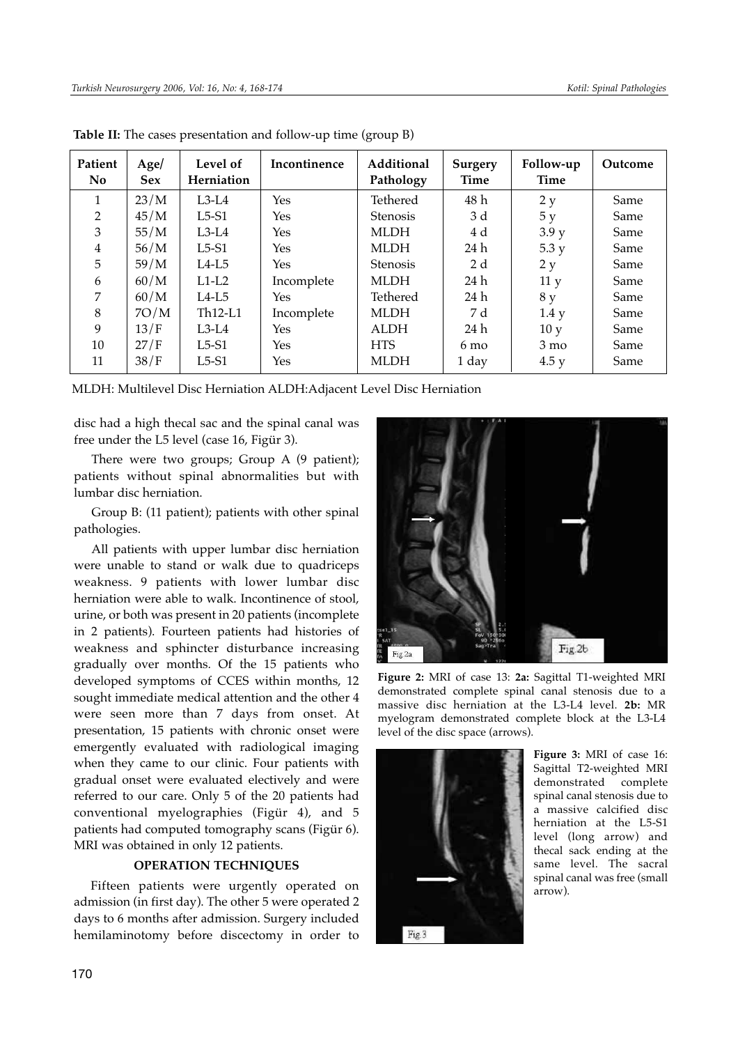| Patient<br>N <sub>o</sub> | Age/<br><b>Sex</b> | Level of<br>Herniation | Incontinence | Additional<br>Pathology | Surgery<br>Time | Follow-up<br>Time | Outcome |
|---------------------------|--------------------|------------------------|--------------|-------------------------|-----------------|-------------------|---------|
| 1                         | 23/M               | $L3-L4$                | Yes          | <b>Tethered</b>         | 48 h            | 2 y               | Same    |
| $\overline{2}$            | 45/M               | $L5-51$                | Yes          | <b>Stenosis</b>         | 3 d             | 5y                | Same    |
| 3                         | 55/M               | $L3-L4$                | Yes          | <b>MLDH</b>             | 4 d             | 3.9 y             | Same    |
| $\overline{4}$            | 56/M               | $L5-S1$                | Yes          | MLDH                    | 24 h            | 5.3 y             | Same    |
| 5                         | 59/M               | $L4-L5$                | Yes          | <b>Stenosis</b>         | 2d              | 2 y               | Same    |
| 6                         | 60/M               | $L1-L2$                | Incomplete   | <b>MLDH</b>             | 24 h            | 11 <sub>y</sub>   | Same    |
| 7                         | 60/M               | $L4-L5$                | Yes          | <b>Tethered</b>         | 24 h            | 8 y               | Same    |
| 8                         | 7O/M               | $Th12-L1$              | Incomplete   | MLDH                    | 7 d             | 1.4 y             | Same    |
| 9                         | 13/F               | $L3-L4$                | Yes          | <b>ALDH</b>             | 24 h            | 10y               | Same    |
| 10                        | 27/F               | $L5-51$                | Yes          | <b>HTS</b>              | $6 \text{ mo}$  | $3 \text{ mo}$    | Same    |
| 11                        | 38/F               | $L5-S1$                | Yes          | <b>MLDH</b>             | 1 day           | 4.5y              | Same    |

**Table II:** The cases presentation and follow-up time (group B)

MLDH: Multilevel Disc Herniation ALDH:Adjacent Level Disc Herniation

disc had a high thecal sac and the spinal canal was free under the L5 level (case 16, Figür 3).

There were two groups; Group A (9 patient); patients without spinal abnormalities but with lumbar disc herniation.

Group B: (11 patient); patients with other spinal pathologies.

All patients with upper lumbar disc herniation were unable to stand or walk due to quadriceps weakness. 9 patients with lower lumbar disc herniation were able to walk. Incontinence of stool, urine, or both was present in 20 patients (incomplete in 2 patients). Fourteen patients had histories of weakness and sphincter disturbance increasing gradually over months. Of the 15 patients who developed symptoms of CCES within months, 12 sought immediate medical attention and the other 4 were seen more than 7 days from onset. At presentation, 15 patients with chronic onset were emergently evaluated with radiological imaging when they came to our clinic. Four patients with gradual onset were evaluated electively and were referred to our care. Only 5 of the 20 patients had conventional myelographies (Figür 4), and 5 patients had computed tomography scans (Figür 6). MRI was obtained in only 12 patients.

## **OPERATION TECHNIQUES**

Fifteen patients were urgently operated on admission (in first day). The other 5 were operated 2 days to 6 months after admission. Surgery included hemilaminotomy before discectomy in order to



**Figure 2:** MRI of case 13: **2a:** Sagittal T1-weighted MRI demonstrated complete spinal canal stenosis due to a massive disc herniation at the L3-L4 level. **2b:** MR myelogram demonstrated complete block at the L3-L4 level of the disc space (arrows).



**Figure 3:** MRI of case 16: Sagittal T2-weighted MRI demonstrated complete spinal canal stenosis due to a massive calcified disc herniation at the L5-S1 level (long arrow) and thecal sack ending at the same level. The sacral spinal canal was free (small arrow).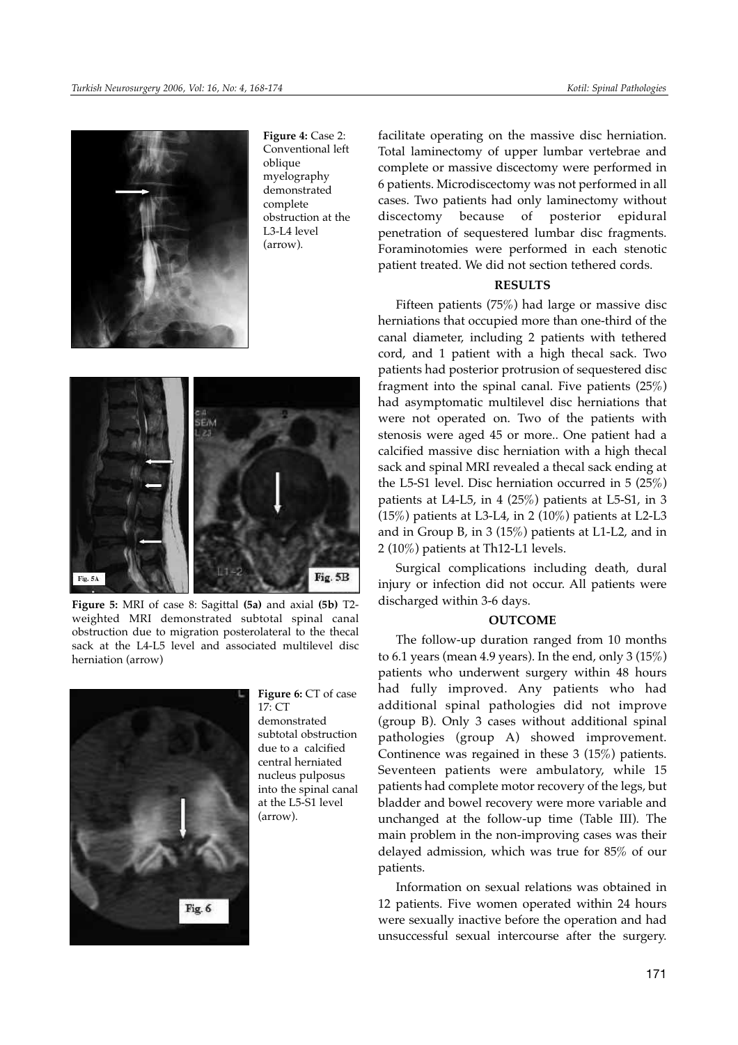

**Figure 4:** Case 2: Conventional left oblique myelography demonstrated complete obstruction at the L3-L4 level (arrow).



**Figure 5:** MRI of case 8: Sagittal **(5a)** and axial **(5b)** T2 weighted MRI demonstrated subtotal spinal canal obstruction due to migration posterolateral to the thecal sack at the L4-L5 level and associated multilevel disc herniation (arrow)



**Figure 6:** CT of case 17: CT demonstrated subtotal obstruction due to a calcified central herniated nucleus pulposus into the spinal canal at the L5-S1 level (arrow).

facilitate operating on the massive disc herniation. Total laminectomy of upper lumbar vertebrae and complete or massive discectomy were performed in 6 patients. Microdiscectomy was not performed in all cases. Two patients had only laminectomy without discectomy because of posterior epidural penetration of sequestered lumbar disc fragments. Foraminotomies were performed in each stenotic patient treated. We did not section tethered cords.

#### **RESULTS**

Fifteen patients (75%) had large or massive disc herniations that occupied more than one-third of the canal diameter, including 2 patients with tethered cord, and 1 patient with a high thecal sack. Two patients had posterior protrusion of sequestered disc fragment into the spinal canal. Five patients  $(25%)$ had asymptomatic multilevel disc herniations that were not operated on. Two of the patients with stenosis were aged 45 or more.. One patient had a calcified massive disc herniation with a high thecal sack and spinal MRI revealed a thecal sack ending at the L5-S1 level. Disc herniation occurred in 5 (25%) patients at L4-L5, in 4 (25%) patients at L5-S1, in 3  $(15%)$  patients at L3-L4, in 2  $(10%)$  patients at L2-L3 and in Group B, in 3 (15%) patients at L1-L2, and in 2 (10%) patients at Th12-L1 levels.

Surgical complications including death, dural injury or infection did not occur. All patients were discharged within 3-6 days.

#### **OUTCOME**

The follow-up duration ranged from 10 months to 6.1 years (mean 4.9 years). In the end, only  $3(15%)$ patients who underwent surgery within 48 hours had fully improved. Any patients who had additional spinal pathologies did not improve (group B). Only 3 cases without additional spinal pathologies (group A) showed improvement. Continence was regained in these 3 (15%) patients. Seventeen patients were ambulatory, while 15 patients had complete motor recovery of the legs, but bladder and bowel recovery were more variable and unchanged at the follow-up time (Table III). The main problem in the non-improving cases was their delayed admission, which was true for 85% of our patients.

Information on sexual relations was obtained in 12 patients. Five women operated within 24 hours were sexually inactive before the operation and had unsuccessful sexual intercourse after the surgery.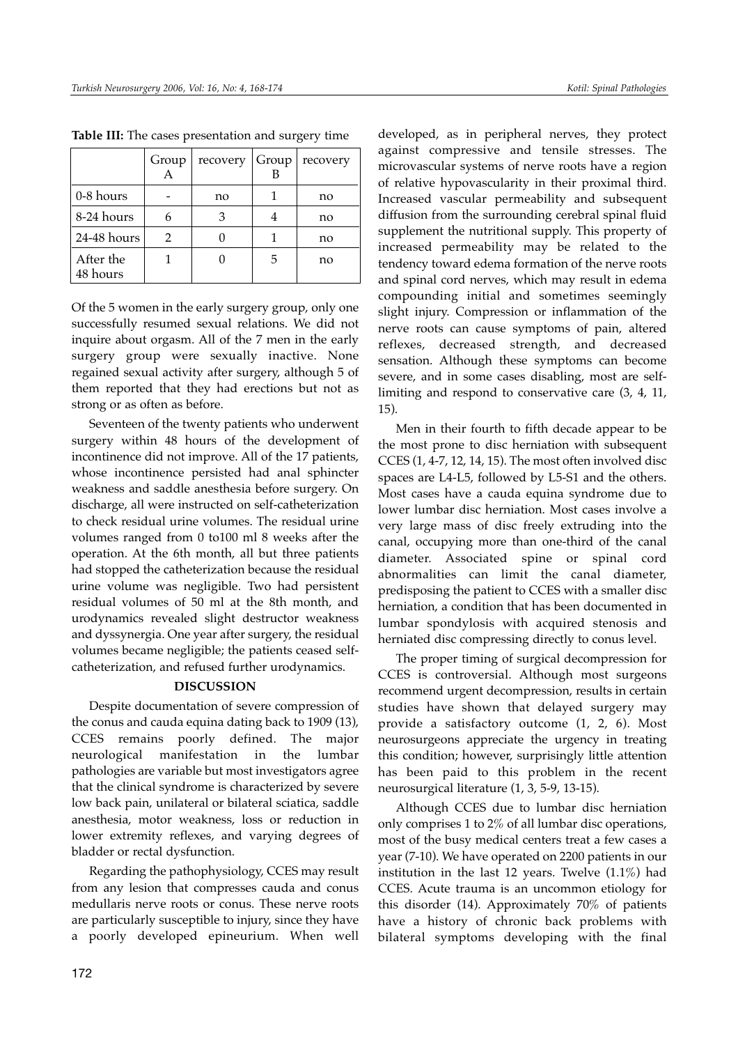|                       | Group | recovery | Group | recovery |
|-----------------------|-------|----------|-------|----------|
| 0-8 hours             |       | no       |       | no       |
| 8-24 hours            |       |          | 4     | no       |
| 24-48 hours           | 2     |          |       | no       |
| After the<br>48 hours |       |          | 5     | no       |

**Table III:** The cases presentation and surgery time

Of the 5 women in the early surgery group, only one successfully resumed sexual relations. We did not inquire about orgasm. All of the 7 men in the early surgery group were sexually inactive. None regained sexual activity after surgery, although 5 of them reported that they had erections but not as strong or as often as before.

Seventeen of the twenty patients who underwent surgery within 48 hours of the development of incontinence did not improve. All of the 17 patients, whose incontinence persisted had anal sphincter weakness and saddle anesthesia before surgery. On discharge, all were instructed on self-catheterization to check residual urine volumes. The residual urine volumes ranged from 0 to100 ml 8 weeks after the operation. At the 6th month, all but three patients had stopped the catheterization because the residual urine volume was negligible. Two had persistent residual volumes of 50 ml at the 8th month, and urodynamics revealed slight destructor weakness and dyssynergia. One year after surgery, the residual volumes became negligible; the patients ceased selfcatheterization, and refused further urodynamics.

## **DISCUSSION**

Despite documentation of severe compression of the conus and cauda equina dating back to 1909 (13), CCES remains poorly defined. The major neurological manifestation in the lumbar pathologies are variable but most investigators agree that the clinical syndrome is characterized by severe low back pain, unilateral or bilateral sciatica, saddle anesthesia, motor weakness, loss or reduction in lower extremity reflexes, and varying degrees of bladder or rectal dysfunction.

Regarding the pathophysiology, CCES may result from any lesion that compresses cauda and conus medullaris nerve roots or conus. These nerve roots are particularly susceptible to injury, since they have a poorly developed epineurium. When well

developed, as in peripheral nerves, they protect against compressive and tensile stresses. The microvascular systems of nerve roots have a region of relative hypovascularity in their proximal third. Increased vascular permeability and subsequent diffusion from the surrounding cerebral spinal fluid supplement the nutritional supply. This property of increased permeability may be related to the tendency toward edema formation of the nerve roots and spinal cord nerves, which may result in edema compounding initial and sometimes seemingly slight injury. Compression or inflammation of the nerve roots can cause symptoms of pain, altered reflexes, decreased strength, and decreased sensation. Although these symptoms can become severe, and in some cases disabling, most are selflimiting and respond to conservative care (3, 4, 11, 15).

Men in their fourth to fifth decade appear to be the most prone to disc herniation with subsequent CCES (1, 4-7, 12, 14, 15). The most often involved disc spaces are L4-L5, followed by L5-S1 and the others. Most cases have a cauda equina syndrome due to lower lumbar disc herniation. Most cases involve a very large mass of disc freely extruding into the canal, occupying more than one-third of the canal diameter. Associated spine or spinal cord abnormalities can limit the canal diameter, predisposing the patient to CCES with a smaller disc herniation, a condition that has been documented in lumbar spondylosis with acquired stenosis and herniated disc compressing directly to conus level.

The proper timing of surgical decompression for CCES is controversial. Although most surgeons recommend urgent decompression, results in certain studies have shown that delayed surgery may provide a satisfactory outcome (1, 2, 6). Most neurosurgeons appreciate the urgency in treating this condition; however, surprisingly little attention has been paid to this problem in the recent neurosurgical literature (1, 3, 5-9, 13-15).

Although CCES due to lumbar disc herniation only comprises 1 to 2% of all lumbar disc operations, most of the busy medical centers treat a few cases a year (7-10). We have operated on 2200 patients in our institution in the last 12 years. Twelve (1.1%) had CCES. Acute trauma is an uncommon etiology for this disorder (14). Approximately 70% of patients have a history of chronic back problems with bilateral symptoms developing with the final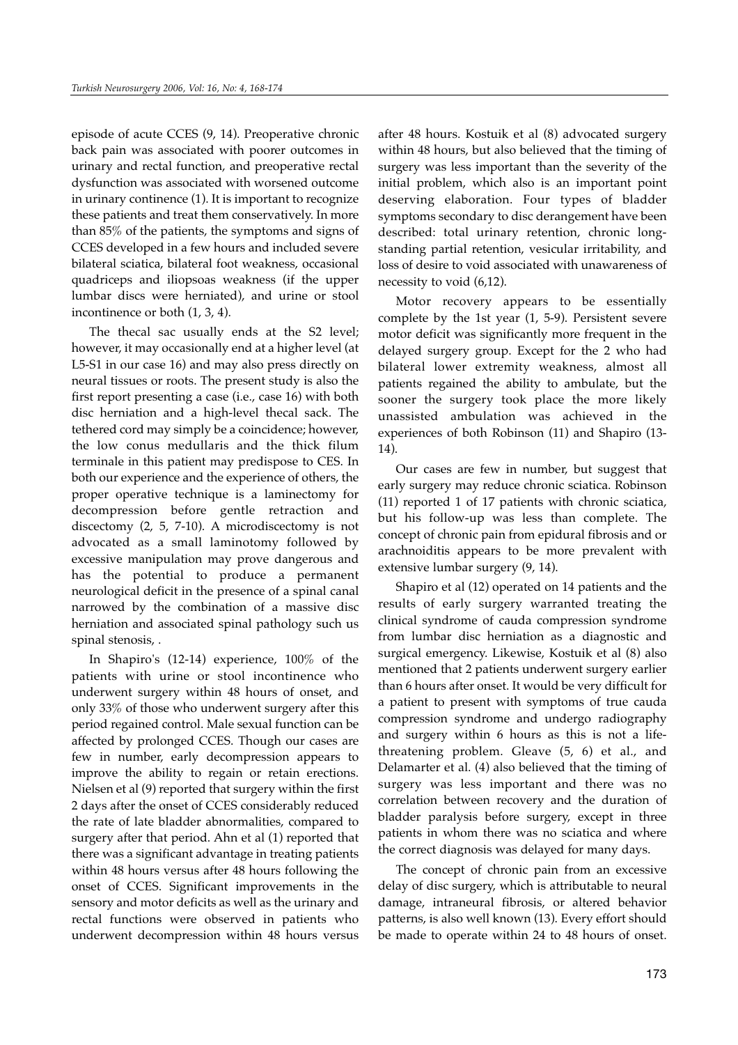episode of acute CCES (9, 14). Preoperative chronic back pain was associated with poorer outcomes in urinary and rectal function, and preoperative rectal dysfunction was associated with worsened outcome in urinary continence (1). It is important to recognize these patients and treat them conservatively. In more than 85% of the patients, the symptoms and signs of CCES developed in a few hours and included severe bilateral sciatica, bilateral foot weakness, occasional quadriceps and iliopsoas weakness (if the upper lumbar discs were herniated), and urine or stool incontinence or both (1, 3, 4).

The thecal sac usually ends at the S2 level; however, it may occasionally end at a higher level (at L5-S1 in our case 16) and may also press directly on neural tissues or roots. The present study is also the first report presenting a case (i.e., case 16) with both disc herniation and a high-level thecal sack. The tethered cord may simply be a coincidence; however, the low conus medullaris and the thick filum terminale in this patient may predispose to CES. In both our experience and the experience of others, the proper operative technique is a laminectomy for decompression before gentle retraction and discectomy (2, 5, 7-10). A microdiscectomy is not advocated as a small laminotomy followed by excessive manipulation may prove dangerous and has the potential to produce a permanent neurological deficit in the presence of a spinal canal narrowed by the combination of a massive disc herniation and associated spinal pathology such us spinal stenosis, .

In Shapiro's (12-14) experience, 100% of the patients with urine or stool incontinence who underwent surgery within 48 hours of onset, and only 33% of those who underwent surgery after this period regained control. Male sexual function can be affected by prolonged CCES. Though our cases are few in number, early decompression appears to improve the ability to regain or retain erections. Nielsen et al (9) reported that surgery within the first 2 days after the onset of CCES considerably reduced the rate of late bladder abnormalities, compared to surgery after that period. Ahn et al (1) reported that there was a significant advantage in treating patients within 48 hours versus after 48 hours following the onset of CCES. Significant improvements in the sensory and motor deficits as well as the urinary and rectal functions were observed in patients who underwent decompression within 48 hours versus

after 48 hours. Kostuik et al (8) advocated surgery within 48 hours, but also believed that the timing of surgery was less important than the severity of the initial problem, which also is an important point deserving elaboration. Four types of bladder symptoms secondary to disc derangement have been described: total urinary retention, chronic longstanding partial retention, vesicular irritability, and loss of desire to void associated with unawareness of necessity to void (6,12).

Motor recovery appears to be essentially complete by the 1st year (1, 5-9). Persistent severe motor deficit was significantly more frequent in the delayed surgery group. Except for the 2 who had bilateral lower extremity weakness, almost all patients regained the ability to ambulate, but the sooner the surgery took place the more likely unassisted ambulation was achieved in the experiences of both Robinson (11) and Shapiro (13- 14).

Our cases are few in number, but suggest that early surgery may reduce chronic sciatica. Robinson (11) reported 1 of 17 patients with chronic sciatica, but his follow-up was less than complete. The concept of chronic pain from epidural fibrosis and or arachnoiditis appears to be more prevalent with extensive lumbar surgery (9, 14).

Shapiro et al (12) operated on 14 patients and the results of early surgery warranted treating the clinical syndrome of cauda compression syndrome from lumbar disc herniation as a diagnostic and surgical emergency. Likewise, Kostuik et al (8) also mentioned that 2 patients underwent surgery earlier than 6 hours after onset. It would be very difficult for a patient to present with symptoms of true cauda compression syndrome and undergo radiography and surgery within 6 hours as this is not a lifethreatening problem. Gleave (5, 6) et al., and Delamarter et al. (4) also believed that the timing of surgery was less important and there was no correlation between recovery and the duration of bladder paralysis before surgery, except in three patients in whom there was no sciatica and where the correct diagnosis was delayed for many days.

The concept of chronic pain from an excessive delay of disc surgery, which is attributable to neural damage, intraneural fibrosis, or altered behavior patterns, is also well known (13). Every effort should be made to operate within 24 to 48 hours of onset.